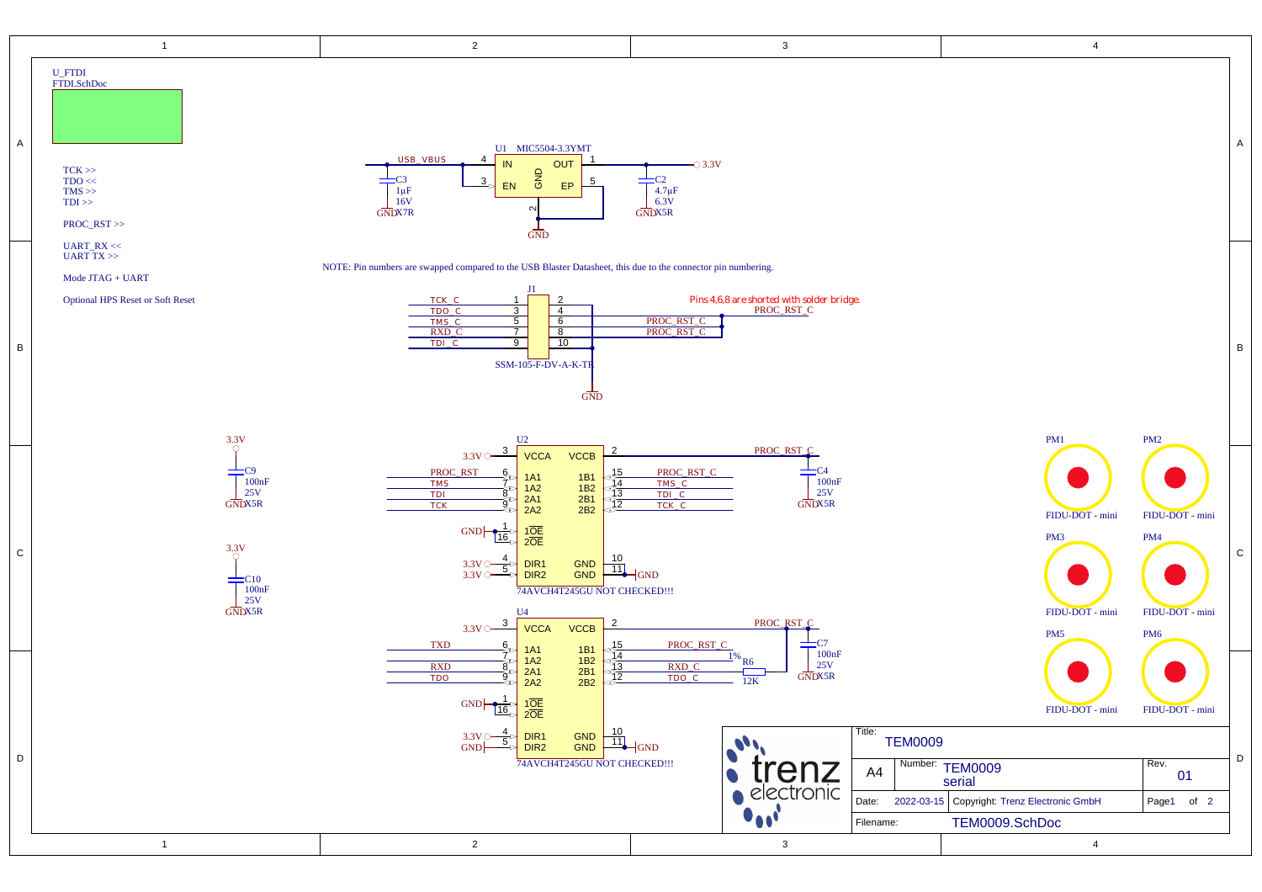